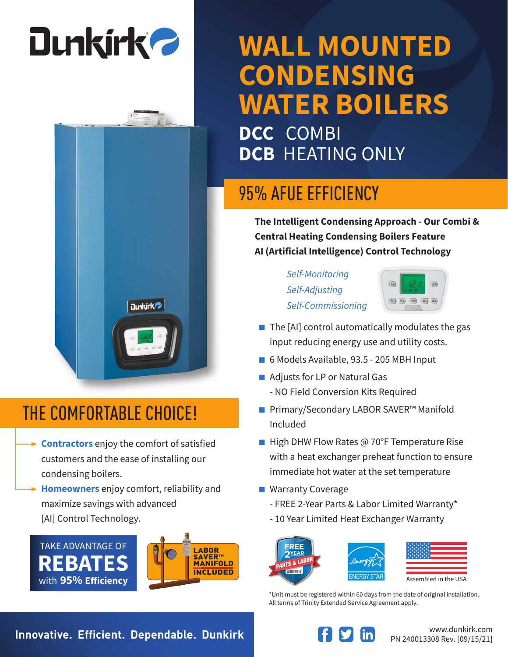# **Dunkirk 2**



#### THE COMFORTABLE CHOICE!

- **Contractors** enjoy the comfort of satisfied customers and the ease of installing our condensing boilers.
- **Homeowners** enjoy comfort, reliability and maximize savings with advanced [AI] Control Technology.





### **WALL MOUNTED CONDENSING WATER BOILERS**

**DCC** COMBI **DCB** HEATING ONLY

#### 95% AFUE EFFICIENCY

**The Intelligent Condensing Approach - Our Combi & Central Heating Condensing Boilers Feature AI (Artificial Intelligence) Control Technology**

> *Self-Monitoring Self-Adjusting Self-Commissioning*



- $\blacksquare$  The [AI] control automatically modulates the gas input reducing energy use and utility costs.
- 6 Models Available, 93.5 205 MBH Input
- Adjusts for LP or Natural Gas - NO Field Conversion Kits Required
- Primary/Secondary LABOR SAVER<sup>™</sup> Manifold Included
- High DHW Flow Rates @ 70°F Temperature Rise with a heat exchanger preheat function to ensure immediate hot water at the set temperature
- Warranty Coverage
	- FREE 2-Year Parts & Labor Limited Warranty\*
	- 10 Year Limited Heat Exchanger Warranty





| Assembled in the USA |
|----------------------|

\*Unit must be registered within 60 days from the date of original installation. All terms of Trinity Extended Service Agreement apply.

**Innovative. Efficient. Dependable. Dunkirk Weiter Areas and Music Weiters and Music Communistry.com**